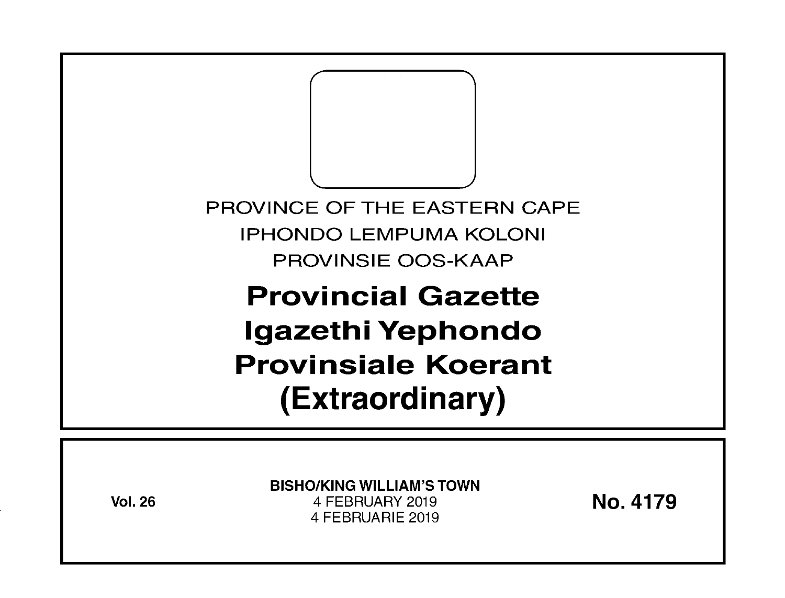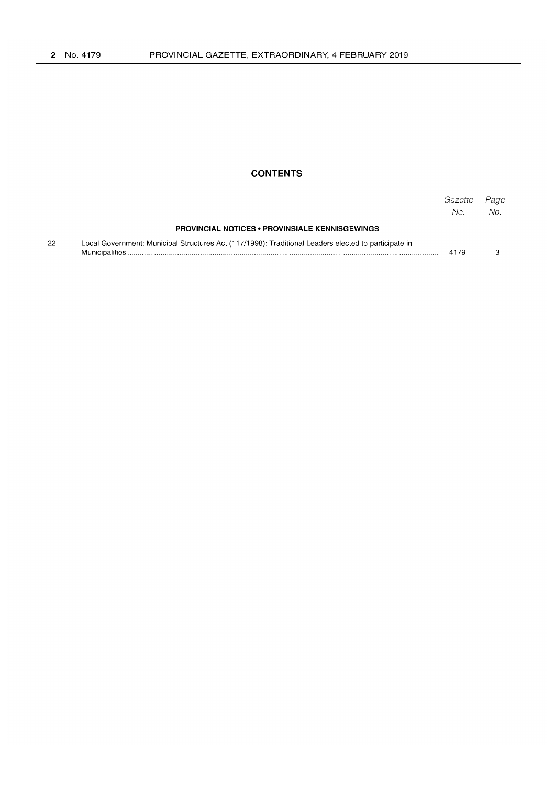## **CONTENTS**

|    |                                                                                                      | Gazette<br>No. | Page<br>No. |
|----|------------------------------------------------------------------------------------------------------|----------------|-------------|
|    | <b>PROVINCIAL NOTICES • PROVINSIALE KENNISGEWINGS</b>                                                |                |             |
| 22 | Local Government: Municipal Structures Act (117/1998): Traditional Leaders elected to participate in | 4179           |             |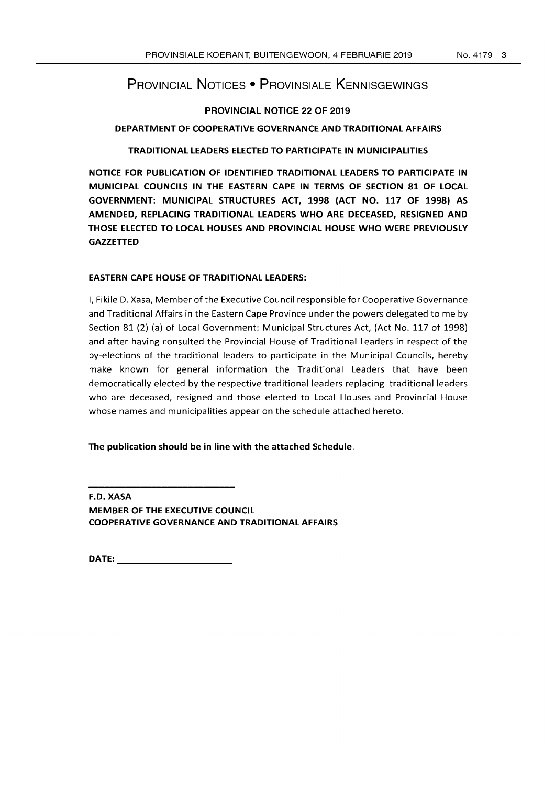# PROVINCIAL NOTICES • PROVINSIALE KENNISGEWINGS

#### PROVINCIAL NOTICE 22 OF 2019

#### DEPARTMENT OF COOPERATIVE GOVERNANCE AND TRADITIONAL AFFAIRS

#### TRADITIONAL LEADERS ElECTED TO PARTICIPATE IN MUNICIPALITIES

NOTICE FOR PUBLICATION OF IDENTIFIED TRADITIONAL LEADERS TO PARTICIPATE IN MUNICIPAL COUNCILS IN THE EASTERN CAPE IN TERMS OF SECTION 81 OF LOCAL GOVERNMENT: MUNICIPAL STRUCTURES ACT, 1998 (ACT NO. 117 OF 1998) AS AMENDED, REPLACING TRADITIONAL LEADERS WHO ARE DECEASED, RESIGNED AND THOSE ElECTED TO LOCAL HOUSES AND PROVINCIAL HOUSE WHO WERE PREVIOUSLY **GAZZETTED** 

#### EASTERN CAPE HOUSE OF TRADITIONAL LEADERS:

I, Fikile D. Xasa, Member of the Executive Council responsible for Cooperative Governance and Traditional Affairs in the Eastern Cape Province under the powers delegated to me by Section 81 (2) (a) of Local Government: Municipal Structures Act, (Act No. 117 of 1998) and after having consulted the Provincial House of Traditional Leaders in respect of the by-elections of the traditional leaders to participate in the Municipal Councils, hereby make known for general information the Traditional Leaders that have been democratically elected by the respective traditional leaders replacing traditional leaders who are deceased, resigned and those elected to Local Houses and Provincial House whose names and municipalities appear on the schedule attached hereto.

### The publication should be in line with the attached Schedule.

F.D. XASA MEMBER OF THE EXECUTIVE COUNCIL COOPERATIVE GOVERNANCE AND TRADITIONAL AFFAIRS

DATE: \_\_\_\_\_\_\_\_\_\_\_\_\_\_\_\_\_\_ \_